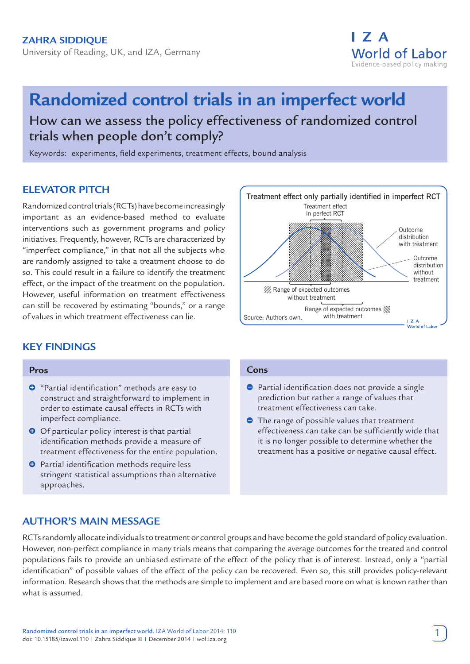

# **Randomized control trials in an imperfect world** How can we assess the policy effectiveness of randomized control trials when people don't comply?

Keywords: experiments, field experiments, treatment effects, bound analysis

# **ELEVATOR PITCH**

Randomized control trials (RCTs) have become increasingly important as an evidence-based method to evaluate interventions such as government programs and policy initiatives. Frequently, however, RCTs are characterized by "imperfect compliance," in that not all the subjects who are randomly assigned to take a treatment choose to do so. This could result in a failure to identify the treatment effect, or the impact of the treatment on the population. However, useful information on treatment effectiveness can still be recovered by estimating "bounds," or a range of values in which treatment effectiveness can lie.



# **KEY FINDINGS**

#### **Pros**

- $\bullet$  "Partial identification" methods are easy to construct and straightforward to implement in order to estimate causal effects in RCTs with imperfect compliance.
- **O** Of particular policy interest is that partial identification methods provide a measure of treatment effectiveness for the entire population.
- $\bullet$  Partial identification methods require less stringent statistical assumptions than alternative approaches.

#### **Cons**

- **Partial identification does not provide a single** prediction but rather a range of values that treatment effectiveness can take.
- **•** The range of possible values that treatment effectiveness can take can be sufficiently wide that it is no longer possible to determine whether the treatment has a positive or negative causal effect.

# **AUTHOR'S MAIN MESSAGE**

RCTs randomly allocate individuals to treatment or control groups and have become the gold standard of policy evaluation. However, non-perfect compliance in many trials means that comparing the average outcomes for the treated and control populations fails to provide an unbiased estimate of the effect of the policy that is of interest. Instead, only a "partial identification" of possible values of the effect of the policy can be recovered. Even so, this still provides policy-relevant information. Research shows that the methods are simple to implement and are based more on what is known rather than what is assumed.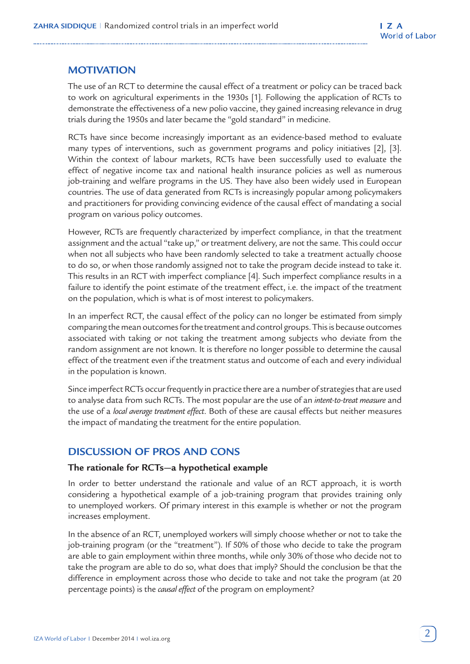# **MOTIVATION**

The use of an RCT to determine the causal effect of a treatment or policy can be traced back to work on agricultural experiments in the 1930s [1]. Following the application of RCTs to demonstrate the effectiveness of a new polio vaccine, they gained increasing relevance in drug trials during the 1950s and later became the "gold standard" in medicine.

RCTs have since become increasingly important as an evidence-based method to evaluate many types of interventions, such as government programs and policy initiatives [2], [3]. Within the context of labour markets, RCTs have been successfully used to evaluate the effect of negative income tax and national health insurance policies as well as numerous job-training and welfare programs in the US. They have also been widely used in European countries. The use of data generated from RCTs is increasingly popular among policymakers and practitioners for providing convincing evidence of the causal effect of mandating a social program on various policy outcomes.

However, RCTs are frequently characterized by imperfect compliance, in that the treatment assignment and the actual "take up," or treatment delivery, are not the same. This could occur when not all subjects who have been randomly selected to take a treatment actually choose to do so, or when those randomly assigned not to take the program decide instead to take it. This results in an RCT with imperfect compliance [4]. Such imperfect compliance results in a failure to identify the point estimate of the treatment effect, i.e. the impact of the treatment on the population, which is what is of most interest to policymakers.

In an imperfect RCT, the causal effect of the policy can no longer be estimated from simply comparing the mean outcomes for the treatment and control groups. This is because outcomes associated with taking or not taking the treatment among subjects who deviate from the random assignment are not known. It is therefore no longer possible to determine the causal effect of the treatment even if the treatment status and outcome of each and every individual in the population is known.

Since imperfect RCTs occur frequently in practice there are a number of strategies that are used to analyse data from such RCTs. The most popular are the use of an *intent-to-treat measure* and the use of a *local average treatment effect*. Both of these are causal effects but neither measures the impact of mandating the treatment for the entire population.

# **DISCUSSION OF PROS AND CONS**

### **The rationale for RCTs—a hypothetical example**

In order to better understand the rationale and value of an RCT approach, it is worth considering a hypothetical example of a job-training program that provides training only to unemployed workers. Of primary interest in this example is whether or not the program increases employment.

In the absence of an RCT, unemployed workers will simply choose whether or not to take the job-training program (or the "treatment"). If 50% of those who decide to take the program are able to gain employment within three months, while only 30% of those who decide not to take the program are able to do so, what does that imply? Should the conclusion be that the difference in employment across those who decide to take and not take the program (at 20 percentage points) is the *causal effect* of the program on employment?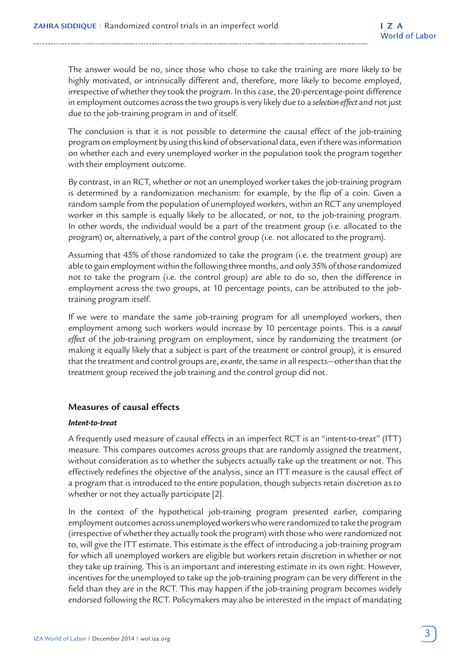The answer would be no, since those who chose to take the training are more likely to be highly motivated, or intrinsically different and, therefore, more likely to become employed, irrespective of whether they took the program. In this case, the 20-percentage-point difference in employment outcomes across the two groups is very likely due to a *selection effect* and not just due to the job-training program in and of itself.

The conclusion is that it is not possible to determine the causal effect of the job-training program on employment by using this kind of observational data, even if there was information on whether each and every unemployed worker in the population took the program together with their employment outcome.

By contrast, in an RCT, whether or not an unemployed worker takes the job-training program is determined by a randomization mechanism: for example, by the flip of a coin. Given a random sample from the population of unemployed workers, within an RCT any unemployed worker in this sample is equally likely to be allocated, or not, to the job-training program. In other words, the individual would be a part of the treatment group (i.e. allocated to the program) or, alternatively, a part of the control group (i.e. not allocated to the program).

Assuming that 45% of those randomized to take the program (i.e. the treatment group) are able to gain employment within the following three months, and only 35% of those randomized not to take the program (i.e. the control group) are able to do so, then the difference in employment across the two groups, at 10 percentage points, can be attributed to the jobtraining program itself.

If we were to mandate the same job-training program for all unemployed workers, then employment among such workers would increase by 10 percentage points. This is a *causal effect* of the job-training program on employment, since by randomizing the treatment (or making it equally likely that a subject is part of the treatment or control group), it is ensured that the treatment and control groups are, *ex ante*, the same in all respects—other than that the treatment group received the job training and the control group did not.

## **Measures of causal effects**

#### *Intent-to-treat*

A frequently used measure of causal effects in an imperfect RCT is an "intent-to-treat" (ITT) measure. This compares outcomes across groups that are randomly assigned the treatment, without consideration as to whether the subjects actually take up the treatment or not. This effectively redefines the objective of the analysis, since an ITT measure is the causal effect of a program that is introduced to the entire population, though subjects retain discretion as to whether or not they actually participate [2].

In the context of the hypothetical job-training program presented earlier, comparing employment outcomes across unemployed workers who were randomized to take the program (irrespective of whether they actually took the program) with those who were randomized not to, will give the ITT estimate. This estimate is the effect of introducing a job-training program for which all unemployed workers are eligible but workers retain discretion in whether or not they take up training. This is an important and interesting estimate in its own right. However, incentives for the unemployed to take up the job-training program can be very different in the field than they are in the RCT. This may happen if the job-training program becomes widely endorsed following the RCT. Policymakers may also be interested in the impact of mandating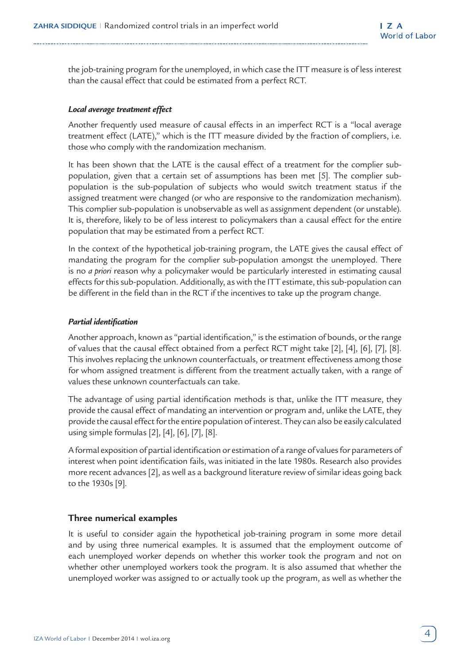the job-training program for the unemployed, in which case the ITT measure is of less interest than the causal effect that could be estimated from a perfect RCT.

#### *Local average treatment effect*

Another frequently used measure of causal effects in an imperfect RCT is a "local average treatment effect (LATE)," which is the ITT measure divided by the fraction of compliers, i.e. those who comply with the randomization mechanism.

It has been shown that the LATE is the causal effect of a treatment for the complier subpopulation, given that a certain set of assumptions has been met [5]. The complier subpopulation is the sub-population of subjects who would switch treatment status if the assigned treatment were changed (or who are responsive to the randomization mechanism). This complier sub-population is unobservable as well as assignment dependent (or unstable). It is, therefore, likely to be of less interest to policymakers than a causal effect for the entire population that may be estimated from a perfect RCT.

In the context of the hypothetical job-training program, the LATE gives the causal effect of mandating the program for the complier sub-population amongst the unemployed. There is no *a priori* reason why a policymaker would be particularly interested in estimating causal effects for this sub-population. Additionally, as with the ITT estimate, this sub-population can be different in the field than in the RCT if the incentives to take up the program change.

#### *Partial identification*

Another approach, known as "partial identification," is the estimation of bounds, or the range of values that the causal effect obtained from a perfect RCT might take [2], [4], [6], [7], [8]. This involves replacing the unknown counterfactuals, or treatment effectiveness among those for whom assigned treatment is different from the treatment actually taken, with a range of values these unknown counterfactuals can take.

The advantage of using partial identification methods is that, unlike the ITT measure, they provide the causal effect of mandating an intervention or program and, unlike the LATE, they provide the causal effect for the entire population of interest. They can also be easily calculated using simple formulas [2], [4], [6], [7], [8].

A formal exposition of partial identification or estimation of a range of values for parameters of interest when point identification fails, was initiated in the late 1980s. Research also provides more recent advances [2], as well as a background literature review of similar ideas going back to the 1930s [9].

## **Three numerical examples**

It is useful to consider again the hypothetical job-training program in some more detail and by using three numerical examples. It is assumed that the employment outcome of each unemployed worker depends on whether this worker took the program and not on whether other unemployed workers took the program. It is also assumed that whether the unemployed worker was assigned to or actually took up the program, as well as whether the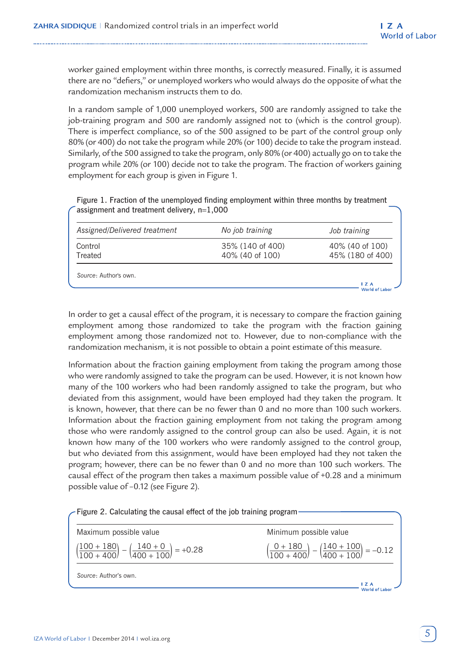worker gained employment within three months, is correctly measured. Finally, it is assumed there are no "defiers," or unemployed workers who would always do the opposite of what the randomization mechanism instructs them to do.

In a random sample of 1,000 unemployed workers, 500 are randomly assigned to take the job-training program and 500 are randomly assigned not to (which is the control group). There is imperfect compliance, so of the 500 assigned to be part of the control group only 80% (or 400) do not take the program while 20% (or 100) decide to take the program instead. Similarly, of the 500 assigned to take the program, only 80% (or 400) actually go on to take the program while 20% (or 100) decide not to take the program. The fraction of workers gaining employment for each group is given in Figure 1.

Figure 1. Fraction of the unemployed finding employment within three months by treatment assignment and treatment delivery, n=1,000

| Assigned/Delivered treatment | No job training                     | Job training                        |
|------------------------------|-------------------------------------|-------------------------------------|
| Control<br>Treated           | 35% (140 of 400)<br>40% (40 of 100) | 40% (40 of 100)<br>45% (180 of 400) |
| Source: Author's own.        |                                     |                                     |
|                              |                                     | $\mathsf{I}$ Z A<br>World of Labor  |

In order to get a causal effect of the program, it is necessary to compare the fraction gaining employment among those randomized to take the program with the fraction gaining employment among those randomized not to. However, due to non-compliance with the randomization mechanism, it is not possible to obtain a point estimate of this measure.

Information about the fraction gaining employment from taking the program among those who were randomly assigned to take the program can be used. However, it is not known how many of the 100 workers who had been randomly assigned to take the program, but who deviated from this assignment, would have been employed had they taken the program. It is known, however, that there can be no fewer than 0 and no more than 100 such workers. Information about the fraction gaining employment from not taking the program among those who were randomly assigned to the control group can also be used. Again, it is not known how many of the 100 workers who were randomly assigned to the control group, but who deviated from this assignment, would have been employed had they not taken the program; however, there can be no fewer than 0 and no more than 100 such workers. The causal effect of the program then takes a maximum possible value of +0.28 and a minimum possible value of –0.12 (see Figure 2).

| Maximum possible value                                                              | Minimum possible value                                                              |
|-------------------------------------------------------------------------------------|-------------------------------------------------------------------------------------|
| $\left(\frac{100+180}{100+400}\right) - \left(\frac{140+0}{400+100}\right) = +0.28$ | $\left(\frac{0+180}{100+400}\right) - \left(\frac{140+100}{400+100}\right) = -0.12$ |
| Source: Author's own.                                                               |                                                                                     |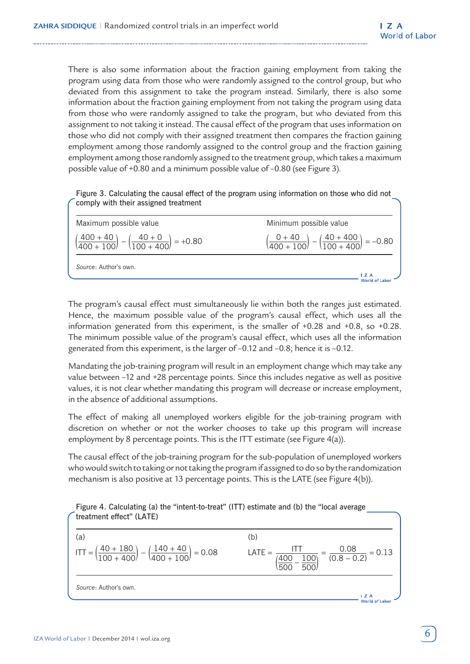There is also some information about the fraction gaining employment from taking the program using data from those who were randomly assigned to the control group, but who deviated from this assignment to take the program instead. Similarly, there is also some information about the fraction gaining employment from not taking the program using data from those who were randomly assigned to take the program, but who deviated from this assignment to not taking it instead. The causal effect of the program that uses information on those who did not comply with their assigned treatment then compares the fraction gaining employment among those randomly assigned to the control group and the fraction gaining employment among those randomly assigned to the treatment group, which takes a maximum possible value of +0.80 and a minimum possible value of –0.80 (see Figure 3).

| Figure 3. Calculating the causal effect of the program using information on those who did not |  |  |  |
|-----------------------------------------------------------------------------------------------|--|--|--|
| comply with their assigned treatment                                                          |  |  |  |

| Source: Author's own.                                                             | 1 Z A                                                                             |
|-----------------------------------------------------------------------------------|-----------------------------------------------------------------------------------|
| $\left(\frac{400+40}{400+100}\right) - \left(\frac{40+0}{100+400}\right) = +0.80$ | $\left(\frac{0+40}{400+100}\right) - \left(\frac{40+400}{100+400}\right) = -0.80$ |
| Maximum possible value                                                            | Minimum possible value                                                            |

The program's causal effect must simultaneously lie within both the ranges just estimated. Hence, the maximum possible value of the program's causal effect, which uses all the information generated from this experiment, is the smaller of +0.28 and +0.8, so +0.28. The minimum possible value of the program's causal effect, which uses all the information generated from this experiment, is the larger of –0.12 and –0.8; hence it is –0.12.

Mandating the job-training program will result in an employment change which may take any value between –12 and +28 percentage points. Since this includes negative as well as positive values, it is not clear whether mandating this program will decrease or increase employment, in the absence of additional assumptions.

The effect of making all unemployed workers eligible for the job-training program with discretion on whether or not the worker chooses to take up this program will increase employment by 8 percentage points. This is the ITT estimate (see Figure 4(a)).

The causal effect of the job-training program for the sub-population of unemployed workers who would switch to taking or not taking the program if assigned to do so by the randomization mechanism is also positive at 13 percentage points. This is the LATE (see Figure 4(b)).

Figure 4. Calculating (a) the "intent-to-treat" (ITT) estimate and (b) the "local average treatment effect" (LATE)

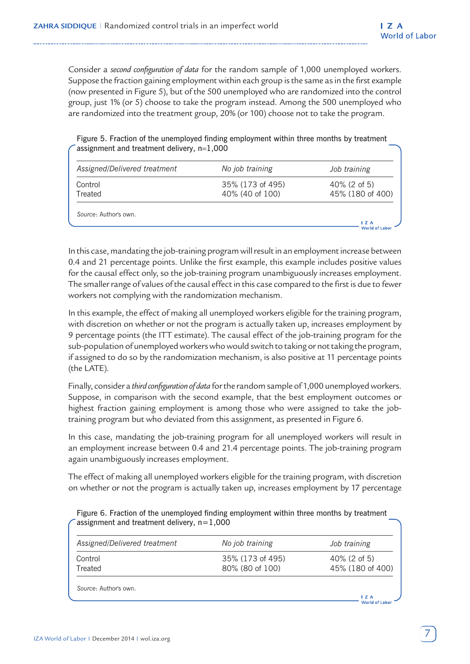Consider a *second configuration of data* for the random sample of 1,000 unemployed workers. Suppose the fraction gaining employment within each group is the same as in the first example (now presented in Figure 5), but of the 500 unemployed who are randomized into the control group, just 1% (or 5) choose to take the program instead. Among the 500 unemployed who are randomized into the treatment group, 20% (or 100) choose not to take the program.

Figure 5. Fraction of the unemployed finding employment within three months by treatment assignment and treatment delivery, n=1,000

| Assigned/Delivered treatment | No job training                     | Job training                        |
|------------------------------|-------------------------------------|-------------------------------------|
| Control<br>Treated           | 35% (173 of 495)<br>40% (40 of 100) | $40\%$ (2 of 5)<br>45% (180 of 400) |
| Source: Author's own.        |                                     | $\mathsf{I}$ Z A                    |

In this case, mandating the job-training program will result in an employment increase between 0.4 and 21 percentage points. Unlike the first example, this example includes positive values for the causal effect only, so the job-training program unambiguously increases employment. The smaller range of values of the causal effect in this case compared to the first is due to fewer workers not complying with the randomization mechanism.

In this example, the effect of making all unemployed workers eligible for the training program, with discretion on whether or not the program is actually taken up, increases employment by 9 percentage points (the ITT estimate). The causal effect of the job-training program for the sub-population of unemployed workers who would switch to taking or not taking the program, if assigned to do so by the randomization mechanism, is also positive at 11 percentage points (the LATE).

Finally, consider a *third configuration of data* for the random sample of 1,000 unemployed workers. Suppose, in comparison with the second example, that the best employment outcomes or highest fraction gaining employment is among those who were assigned to take the jobtraining program but who deviated from this assignment, as presented in Figure 6.

In this case, mandating the job-training program for all unemployed workers will result in an employment increase between 0.4 and 21.4 percentage points. The job-training program again unambiguously increases employment.

The effect of making all unemployed workers eligible for the training program, with discretion on whether or not the program is actually taken up, increases employment by 17 percentage

Figure 6. Fraction of the unemployed finding employment within three months by treatment assignment and treatment delivery,  $n=1,000$ 

| Assigned/Delivered treatment | No job training                     | Job training                        |
|------------------------------|-------------------------------------|-------------------------------------|
| Control<br>Treated           | 35% (173 of 495)<br>80% (80 of 100) | $40\%$ (2 of 5)<br>45% (180 of 400) |
| Source: Author's own.        |                                     | $\mathsf{I}$ Z A                    |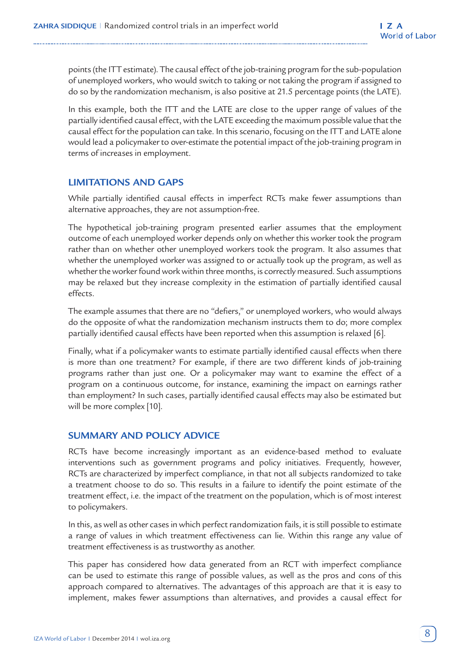points (the ITT estimate). The causal effect of the job-training program for the sub-population of unemployed workers, who would switch to taking or not taking the program if assigned to do so by the randomization mechanism, is also positive at 21.5 percentage points (the LATE).

In this example, both the ITT and the LATE are close to the upper range of values of the partially identified causal effect, with the LATE exceeding the maximum possible value that the causal effect for the population can take. In this scenario, focusing on the ITT and LATE alone would lead a policymaker to over-estimate the potential impact of the job-training program in terms of increases in employment.

## **LIMITATIONS AND GAPS**

While partially identified causal effects in imperfect RCTs make fewer assumptions than alternative approaches, they are not assumption-free.

The hypothetical job-training program presented earlier assumes that the employment outcome of each unemployed worker depends only on whether this worker took the program rather than on whether other unemployed workers took the program. It also assumes that whether the unemployed worker was assigned to or actually took up the program, as well as whether the worker found work within three months, is correctly measured. Such assumptions may be relaxed but they increase complexity in the estimation of partially identified causal effects.

The example assumes that there are no "defiers," or unemployed workers, who would always do the opposite of what the randomization mechanism instructs them to do; more complex partially identified causal effects have been reported when this assumption is relaxed [6].

Finally, what if a policymaker wants to estimate partially identified causal effects when there is more than one treatment? For example, if there are two different kinds of job-training programs rather than just one. Or a policymaker may want to examine the effect of a program on a continuous outcome, for instance, examining the impact on earnings rather than employment? In such cases, partially identified causal effects may also be estimated but will be more complex [10].

## **SUMMARY AND POLICY ADVICE**

RCTs have become increasingly important as an evidence-based method to evaluate interventions such as government programs and policy initiatives. Frequently, however, RCTs are characterized by imperfect compliance, in that not all subjects randomized to take a treatment choose to do so. This results in a failure to identify the point estimate of the treatment effect, i.e. the impact of the treatment on the population, which is of most interest to policymakers.

In this, as well as other cases in which perfect randomization fails, it is still possible to estimate a range of values in which treatment effectiveness can lie. Within this range any value of treatment effectiveness is as trustworthy as another.

This paper has considered how data generated from an RCT with imperfect compliance can be used to estimate this range of possible values, as well as the pros and cons of this approach compared to alternatives. The advantages of this approach are that it is easy to implement, makes fewer assumptions than alternatives, and provides a causal effect for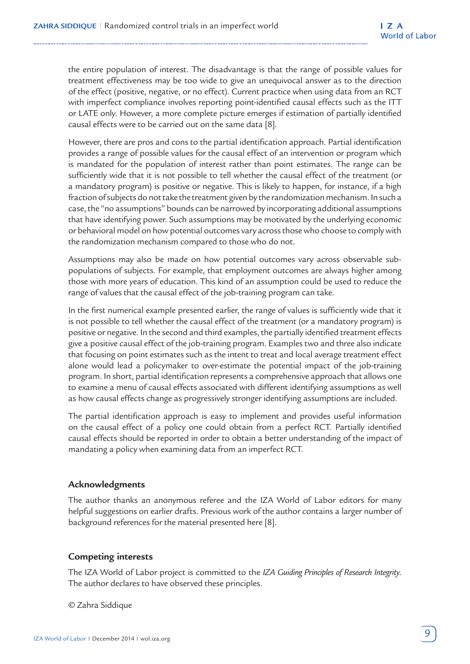the entire population of interest. The disadvantage is that the range of possible values for treatment effectiveness may be too wide to give an unequivocal answer as to the direction of the effect (positive, negative, or no effect). Current practice when using data from an RCT with imperfect compliance involves reporting point-identified causal effects such as the ITT or LATE only. However, a more complete picture emerges if estimation of partially identified causal effects were to be carried out on the same data [8].

However, there are pros and cons to the partial identification approach. Partial identification provides a range of possible values for the causal effect of an intervention or program which is mandated for the population of interest rather than point estimates. The range can be sufficiently wide that it is not possible to tell whether the causal effect of the treatment (or a mandatory program) is positive or negative. This is likely to happen, for instance, if a high fraction of subjects do not take the treatment given by the randomization mechanism. In such a case, the "no assumptions" bounds can be narrowed by incorporating additional assumptions that have identifying power. Such assumptions may be motivated by the underlying economic or behavioral model on how potential outcomes vary across those who choose to comply with the randomization mechanism compared to those who do not.

Assumptions may also be made on how potential outcomes vary across observable subpopulations of subjects. For example, that employment outcomes are always higher among those with more years of education. This kind of an assumption could be used to reduce the range of values that the causal effect of the job-training program can take.

In the first numerical example presented earlier, the range of values is sufficiently wide that it is not possible to tell whether the causal effect of the treatment (or a mandatory program) is positive or negative. In the second and third examples, the partially identified treatment effects give a positive causal effect of the job-training program. Examples two and three also indicate that focusing on point estimates such as the intent to treat and local average treatment effect alone would lead a policymaker to over-estimate the potential impact of the job-training program. In short, partial identification represents a comprehensive approach that allows one to examine a menu of causal effects associated with different identifying assumptions as well as how causal effects change as progressively stronger identifying assumptions are included.

The partial identification approach is easy to implement and provides useful information on the causal effect of a policy one could obtain from a perfect RCT. Partially identified causal effects should be reported in order to obtain a better understanding of the impact of mandating a policy when examining data from an imperfect RCT.

## **Acknowledgments**

The author thanks an anonymous referee and the IZA World of Labor editors for many helpful suggestions on earlier drafts. Previous work of the author contains a larger number of background references for the material presented here [8].

## **Competing interests**

The IZA World of Labor project is committed to the *IZA Guiding Principles of Research Integrity*. The author declares to have observed these principles.

© Zahra Siddique